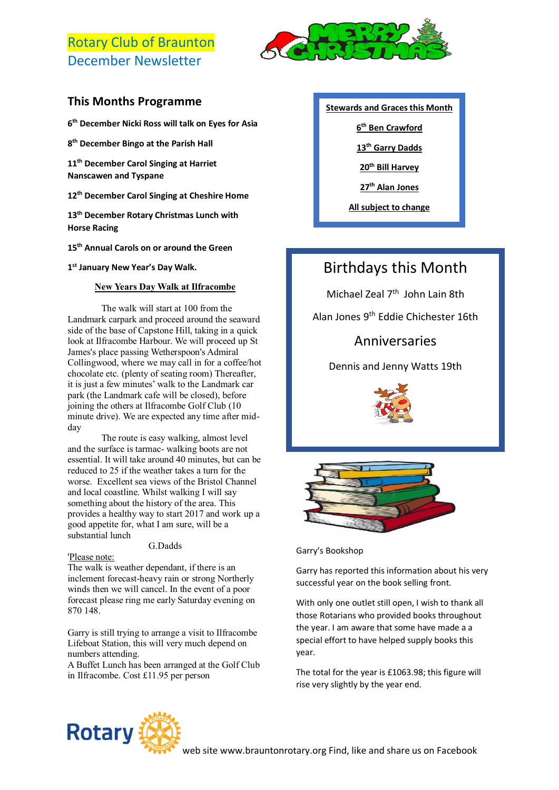# Rotary Club of Braunton December Newsletter



### **This Months Programme**

**6 th December Nicki Ross will talk on Eyes for Asia**

**8 th December Bingo at the Parish Hall**

**11th December Carol Singing at Harriet Nanscawen and Tyspane**

**12th December Carol Singing at Cheshire Home**

**13th December Rotary Christmas Lunch with Horse Racing**

**15th Annual Carols on or around the Green**

**1 st January New Year's Day Walk.**

### **New Years Day Walk at Ilfracombe**

The walk will start at 100 from the Landmark carpark and proceed around the seaward side of the base of Capstone Hill, taking in a quick look at Ilfracombe Harbour. We will proceed up St James's place passing Wetherspoon's Admiral Collingwood, where we may call in for a coffee/hot chocolate etc. (plenty of seating room) Thereafter, it is just a few minutes' walk to the Landmark car park (the Landmark cafe will be closed), before joining the others at Ilfracombe Golf Club (10 minute drive). We are expected any time after midday

The route is easy walking, almost level and the surface is tarmac- walking boots are not essential. It will take around 40 minutes, but can be reduced to 25 if the weather takes a turn for the worse. Excellent sea views of the Bristol Channel and local coastline. Whilst walking I will say something about the history of the area. This provides a healthy way to start 2017 and work up a good appetite for, what I am sure, will be a substantial lunch

#### G.Dadds

#### 'Please note:

The walk is weather dependant, if there is an inclement forecast-heavy rain or strong Northerly winds then we will cancel. In the event of a poor forecast please ring me early Saturday evening on 870 148.

Garry is still trying to arrange a visit to Ilfracombe Lifeboat Station, this will very much depend on numbers attending.

A Buffet Lunch has been arranged at the Golf Club in Ilfracombe. Cost £11.95 per person

### **Stewards and Graces this Month**

**6 th Ben Crawford**

**13th Garry Dadds**

**20th Bill Harvey**

**27th Alan Jones**

**All subject to change**

All subject to change

# Birthdays this Month

Michael Zeal 7<sup>th</sup> John Lain 8th

Alan Jones 9th Eddie Chichester 16th

## Anniversaries

Dennis and Jenny Watts 19th





Garry's Bookshop

Garry has reported this information about his very successful year on the book selling front.

With only one outlet still open, I wish to thank all those Rotarians who provided books throughout the year. I am aware that some have made a a special effort to have helped supply books this year.

The total for the year is £1063.98; this figure will rise very slightly by the year end.